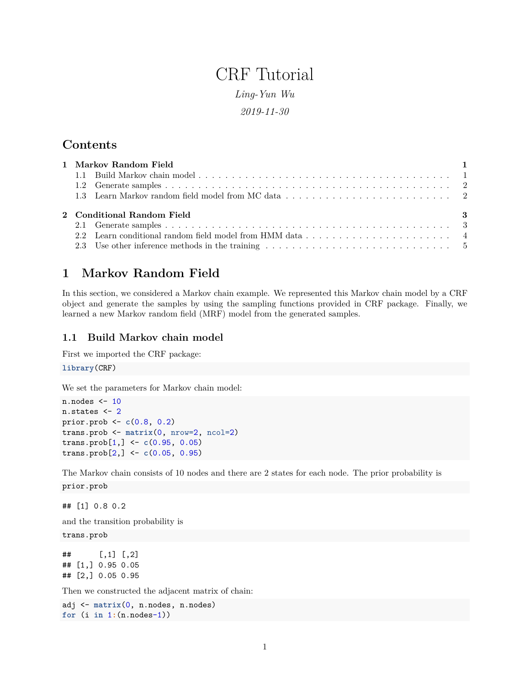# CRF Tutorial

*Ling-Yun Wu*

*2019-11-30*

## **Contents**

|  | 1 Markov Random Field      |     |
|--|----------------------------|-----|
|  |                            |     |
|  |                            |     |
|  |                            |     |
|  |                            |     |
|  | 2 Conditional Random Field | - 3 |
|  |                            |     |

# <span id="page-0-0"></span>**1 Markov Random Field**

In this section, we considered a Markov chain example. We represented this Markov chain model by a CRF object and generate the samples by using the sampling functions provided in CRF package. Finally, we learned a new Markov random field (MRF) model from the generated samples.

### <span id="page-0-1"></span>**1.1 Build Markov chain model**

First we imported the CRF package:

**library**(CRF)

We set the parameters for Markov chain model:

```
n.nodes <- 10
n.states <- 2
prior.prob <- c(0.8, 0.2)
trans.prob <- matrix(0, nrow=2, ncol=2)
trans.prob[1,] <- c(0.95, 0.05)
trans.prob[2,] <- c(0.05, 0.95)
```
The Markov chain consists of 10 nodes and there are 2 states for each node. The prior probability is

prior.prob

## [1] 0.8 0.2

and the transition probability is

trans.prob

```
## [,1] [,2]
## [1,] 0.95 0.05
## [2,] 0.05 0.95
```
Then we constructed the adjacent matrix of chain:

```
adj <- matrix(0, n.nodes, n.nodes)
for (i in 1:(n.nodes-1))
```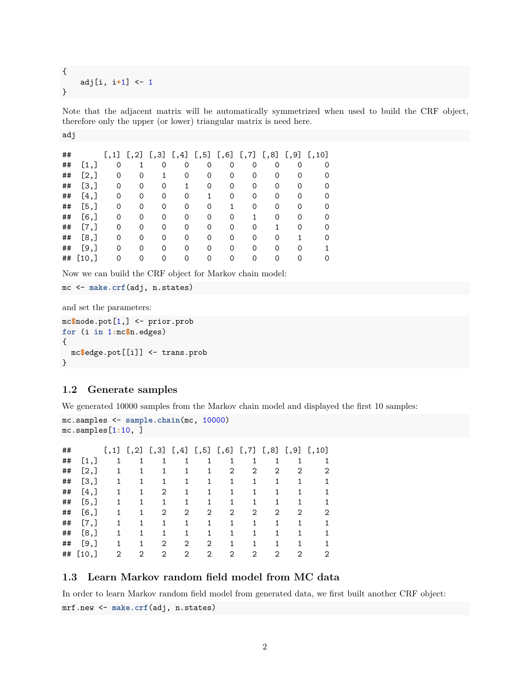```
{
    adj[i, i+1] <- 1
}
```
Note that the adjacent matrix will be automatically symmetrized when used to build the CRF object, therefore only the upper (or lower) triangular matrix is need here.

```
adj
```

| ## |         |   |   | $[,1]$ $[,2]$ $[,3]$ $[,4]$ $[,5]$ $[,6]$ $[,7]$ $[,8]$ $[,9]$ |   |          |   |          |   |   | [, 10]   |
|----|---------|---|---|----------------------------------------------------------------|---|----------|---|----------|---|---|----------|
| ## | [1,]    | 0 |   | $\Omega$                                                       | 0 | $\Omega$ | 0 | $\Omega$ | 0 | 0 | 0        |
| ## | [2,]    | 0 | 0 |                                                                | Ω |          |   | 0        |   |   |          |
| ## | [3,]    | 0 | 0 | 0                                                              |   | 0        | 0 | 0        | 0 |   |          |
| ## | [4,]    | 0 | Ω | $\Omega$                                                       |   |          |   | ∩        |   |   |          |
| ## | [5,]    | 0 | 0 | 0                                                              | O |          |   | 0        |   |   |          |
| ## | [6,     | 0 | 0 | 0                                                              | Ω | ∩        | Ω |          | 0 |   |          |
| ## | $[7,$ ] | 0 | O | $\Omega$                                                       | O | O        |   |          |   |   |          |
| ## | [8,]    | 0 | 0 | 0                                                              | Ω | ∩        | Ω | 0        | 0 |   | $\Omega$ |
| ## | [9,     | 0 | Ω |                                                                |   |          |   |          |   |   |          |
| ## | [10,    |   |   |                                                                |   |          |   |          |   |   |          |

Now we can build the CRF object for Markov chain model:

```
mc <- make.crf(adj, n.states)
```
and set the parameters:

```
mc$node.pot[1,] <- prior.prob
for (i in 1:mc$n.edges)
{
  mc$edge.pot[[i]] <- trans.prob
}
```
#### <span id="page-1-0"></span>**1.2 Generate samples**

We generated 10000 samples from the Markov chain model and displayed the first 10 samples:

```
mc.samples <- sample.chain(mc, 10000)
mc.samples[1:10, ]
## [,1] [,2] [,3] [,4] [,5] [,6] [,7] [,8] [,9] [,10]
```

| 17 H |         |    | لـ∠ر∟ لـ∸ر∟ |   |   |   |   |   |   |   |   |
|------|---------|----|-------------|---|---|---|---|---|---|---|---|
| ##   | [1,]    | 1  |             |   |   |   |   |   |   |   |   |
| ##   | [2,]    | 1  |             |   |   |   | 2 | 2 | 2 | 2 | 2 |
| ##   | [3,]    |    |             |   |   |   |   |   |   |   |   |
| ##   | [4,]    | 1. |             | 2 |   | 1 | 1 |   |   |   |   |
| ##   | [5,]    |    |             |   |   |   |   |   |   |   |   |
| ##   | $[6,$ ] | 1. |             | 2 | 2 | 2 | 2 | 2 | 2 | 2 | 2 |
| ##   | [7,]    | 1  |             |   |   | 1 | 1 |   |   |   |   |
| ##   | [8,]    |    |             |   |   |   |   |   |   |   |   |
| ##   | [9,     | 1  |             | 2 | 2 | 2 | 1 |   |   |   |   |
| ##   | [10,]   | 2  | 2           | 2 | 2 | 2 | 2 | 2 | 2 | 2 | 2 |
|      |         |    |             |   |   |   |   |   |   |   |   |

## <span id="page-1-1"></span>**1.3 Learn Markov random field model from MC data**

In order to learn Markov random field model from generated data, we first built another CRF object: mrf.new <- **make.crf**(adj, n.states)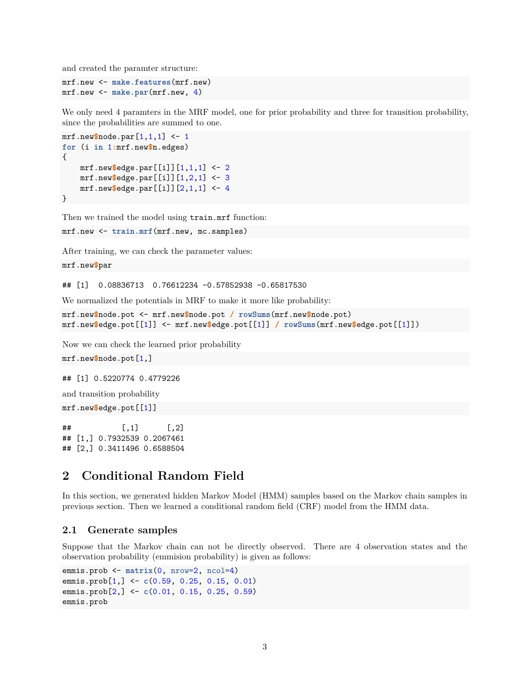and created the paramter structure:

```
mrf.new <- make.features(mrf.new)
mrf.new <- make.par(mrf.new, 4)
```
We only need 4 paramters in the MRF model, one for prior probability and three for transition probability, since the probabilities are summed to one.

```
mrf.new$node.par[1,1,1] <- 1
for (i in 1:mrf.new$n.edges)
{
   mrf.new$edge.par[[i]][1,1,1] <- 2
   mrf.new$edge.par[[i]][1,2,1] <- 3
   mrf.new$edge.par[[i]][2,1,1] <- 4
}
```
Then we trained the model using train.mrf function:

```
mrf.new <- train.mrf(mrf.new, mc.samples)
```
After training, we can check the parameter values:

```
mrf.new$par
```
## [1] 0.08836713 0.76612234 -0.57852938 -0.65817530

We normalized the potentials in MRF to make it more like probability:

```
mrf.new$node.pot <- mrf.new$node.pot / rowSums(mrf.new$node.pot)
mrf.new$edge.pot[[1]] <- mrf.new$edge.pot[[1]] / rowSums(mrf.new$edge.pot[[1]])
```
Now we can check the learned prior probability

mrf.new**\$**node.pot[1,]

## [1] 0.5220774 0.4779226

and transition probability

mrf.new**\$**edge.pot[[1]]

 $\#$   $[,1]$   $[,2]$ ## [1,] 0.7932539 0.2067461 ## [2,] 0.3411496 0.6588504

## <span id="page-2-0"></span>**2 Conditional Random Field**

In this section, we generated hidden Markov Model (HMM) samples based on the Markov chain samples in previous section. Then we learned a conditional random field (CRF) model from the HMM data.

#### <span id="page-2-1"></span>**2.1 Generate samples**

Suppose that the Markov chain can not be directly observed. There are 4 observation states and the observation probability (emmision probability) is given as follows:

```
emmis.prob <- matrix(0, nrow=2, ncol=4)
emmis.prob[1,] <- c(0.59, 0.25, 0.15, 0.01)
emmis.prob[2,] <- c(0.01, 0.15, 0.25, 0.59)
emmis.prob
```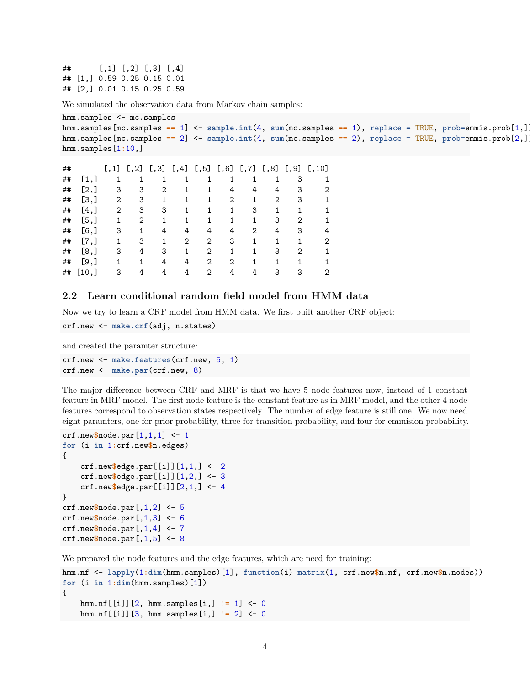$\#$  [,1] [,2] [,3] [,4] ## [1,] 0.59 0.25 0.15 0.01 ## [2,] 0.01 0.15 0.25 0.59

We simulated the observation data from Markov chain samples:

```
hmm.samples <- mc.samples
hmm.samples[mc.samples == 1] <- sample.int(4, sum(mc.samples == 1), replace = TRUE, prob=emmis.prob[1,])
hmm.samples[mc.samples == 2] <- sample.int(4, sum(mc.samples == 2), replace = TRUE, prob=emmis.prob[2,])
hmm.samples[1:10,]
```

```
## [,1] [,2] [,3] [,4] [,5] [,6] [,7] [,8] [,9] [,10]
## [1,] 1 1 1 1 1 1 1 1 3 1
## [2,] 3 3 2 1 1 4 4 4 3 2
## [3,] 2 3 1 1 1 2 1 2 3 1
## [4,] 2 3 3 1 1 1 3 1 1 1
## [5,] 1 2 1 1 1 1 1 3 2 1
## [6,] 3 1 4 4 4 4 2 4 3 4
## [7,] 1 3 1 2 2 3 1 1 1 2
## [8,] 3 4 3 1 2 1 1 3 2 1
## [9,] 1 1 4 4 2 2 1 1 1 1
## [10,] 3 4 4 4 2 4 4 3 3 2
```
#### <span id="page-3-0"></span>**2.2 Learn conditional random field model from HMM data**

Now we try to learn a CRF model from HMM data. We first built another CRF object:

```
crf.new <- make.crf(adj, n.states)
```
and created the paramter structure:

```
crf.new <- make.features(crf.new, 5, 1)
crf.new <- make.par(crf.new, 8)
```
The major difference between CRF and MRF is that we have 5 node features now, instead of 1 constant feature in MRF model. The first node feature is the constant feature as in MRF model, and the other 4 node features correspond to observation states respectively. The number of edge feature is still one. We now need eight paramters, one for prior probability, three for transition probability, and four for emmision probability.

```
crf.new$node.par[1,1,1] <- 1
for (i in 1:crf.new$n.edges)
{
    crf.new$edge.par[[i]][1,1,] <- 2
    crf.new$edge.par[[i]][1,2,] <- 3
    crf.new$edge.par[[i]][2,1,] <- 4
}
crf.new$node.par[,1,2] <- 5
crf.new$node.par[,1,3] <- 6
crf.new$node.par[,1,4] <- 7
crf.new$node.par[,1,5] <- 8
```
We prepared the node features and the edge features, which are need for training:

```
hmm.nf <- lapply(1:dim(hmm.samples)[1], function(i) matrix(1, crf.new$n.nf, crf.new$n.nodes))
for (i in 1:dim(hmm.samples)[1])
{
   hmm.nf[[i]][2, hmm.samples[i,] != 1] <- 0
   hmm.nf[[i]][3, hmm.samples[i,] != 2] <- 0
```